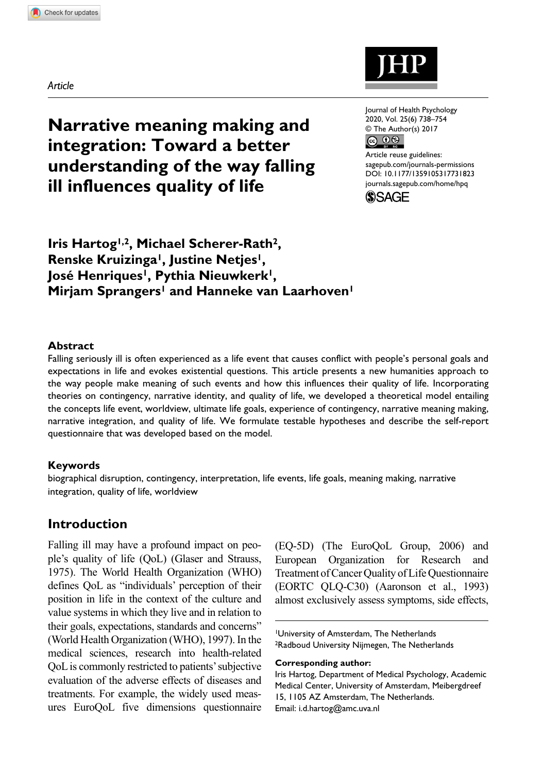*Article*

**Narrative meaning making and integration: Toward a better understanding of the way falling ill influences quality of life**

Journal of Health Psychology

2020, Vol. 25(6) 738–754 © The Author(s) 2017 <u>© 0 ®</u> [Article reuse guidelines:](https://uk.sagepub.com/en-gb/journals-permissions) 

https://doi.org/10.1177/1359105317731823 [DOI: 10.1177/135910531773182](https://journals.sagepub.com/home/hpq)3 sagepub.com/journals-permissions journals.sagepub.com/home/hpq



**Iris Hartog1,2, Michael Scherer-Rath2,**  Renske Kruizinga<sup>1</sup>, Justine Netjes<sup>1</sup>, José Henriques<sup>1</sup>, Pythia Nieuwkerk<sup>1</sup>, **Mirjam Sprangers<sup>1</sup> and Hanneke van Laarhoven<sup>1</sup>** 

#### **Abstract**

Falling seriously ill is often experienced as a life event that causes conflict with people's personal goals and expectations in life and evokes existential questions. This article presents a new humanities approach to the way people make meaning of such events and how this influences their quality of life. Incorporating theories on contingency, narrative identity, and quality of life, we developed a theoretical model entailing the concepts life event, worldview, ultimate life goals, experience of contingency, narrative meaning making, narrative integration, and quality of life. We formulate testable hypotheses and describe the self-report questionnaire that was developed based on the model.

### **Keywords**

biographical disruption, contingency, interpretation, life events, life goals, meaning making, narrative integration, quality of life, worldview

### **Introduction**

Falling ill may have a profound impact on people's quality of life (QoL) (Glaser and Strauss, 1975). The World Health Organization (WHO) defines QoL as "individuals' perception of their position in life in the context of the culture and value systems in which they live and in relation to their goals, expectations, standards and concerns" (World Health Organization (WHO), 1997). In the medical sciences, research into health-related QoL is commonly restricted to patients' subjective evaluation of the adverse effects of diseases and treatments. For example, the widely used measures EuroQoL five dimensions questionnaire

(EQ-5D) (The EuroQoL Group, 2006) and European Organization for Research and Treatment of Cancer Quality of Life Questionnaire (EORTC QLQ-C30) (Aaronson et al., 1993) almost exclusively assess symptoms, side effects,

<sup>1</sup>University of Amsterdam, The Netherlands 2Radboud University Nijmegen, The Netherlands

**Corresponding author:**

Iris Hartog, Department of Medical Psychology, Academic Medical Center, University of Amsterdam, Meibergdreef 15, 1105 AZ Amsterdam, The Netherlands. Email: [i.d.hartog@amc.uva.nl](mailto:i.d.hartog@amc.uva.nl)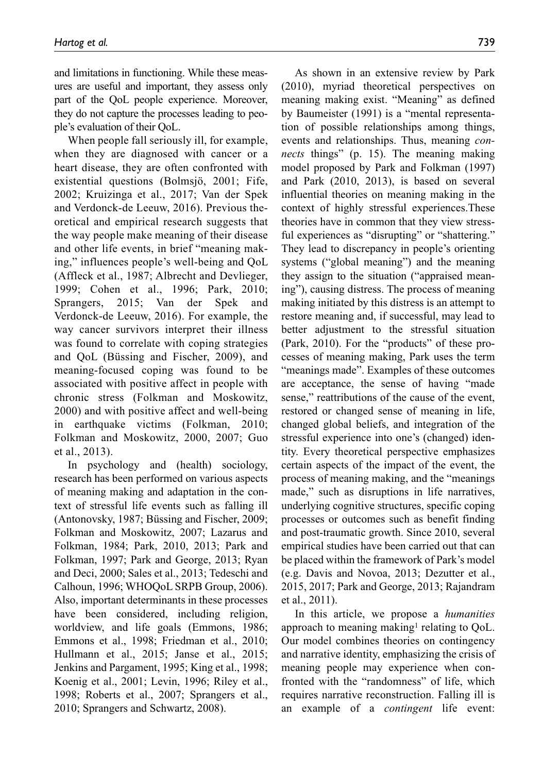and limitations in functioning. While these measures are useful and important, they assess only part of the QoL people experience. Moreover, they do not capture the processes leading to people's evaluation of their QoL.

When people fall seriously ill, for example, when they are diagnosed with cancer or a heart disease, they are often confronted with existential questions (Bolmsjö, 2001; Fife, 2002; Kruizinga et al., 2017; Van der Spek and Verdonck-de Leeuw, 2016). Previous theoretical and empirical research suggests that the way people make meaning of their disease and other life events, in brief "meaning making," influences people's well-being and QoL (Affleck et al., 1987; Albrecht and Devlieger, 1999; Cohen et al., 1996; Park, 2010; Sprangers, 2015; Van der Spek and Verdonck-de Leeuw, 2016). For example, the way cancer survivors interpret their illness was found to correlate with coping strategies and QoL (Büssing and Fischer, 2009), and meaning-focused coping was found to be associated with positive affect in people with chronic stress (Folkman and Moskowitz, 2000) and with positive affect and well-being in earthquake victims (Folkman, 2010; Folkman and Moskowitz, 2000, 2007; Guo et al., 2013).

In psychology and (health) sociology, research has been performed on various aspects of meaning making and adaptation in the context of stressful life events such as falling ill (Antonovsky, 1987; Büssing and Fischer, 2009; Folkman and Moskowitz, 2007; Lazarus and Folkman, 1984; Park, 2010, 2013; Park and Folkman, 1997; Park and George, 2013; Ryan and Deci, 2000; Sales et al., 2013; Tedeschi and Calhoun, 1996; WHOQoL SRPB Group, 2006). Also, important determinants in these processes have been considered, including religion, worldview, and life goals (Emmons, 1986; Emmons et al., 1998; Friedman et al., 2010; Hullmann et al., 2015; Janse et al., 2015; Jenkins and Pargament, 1995; King et al., 1998; Koenig et al., 2001; Levin, 1996; Riley et al., 1998; Roberts et al., 2007; Sprangers et al., 2010; Sprangers and Schwartz, 2008).

As shown in an extensive review by Park (2010), myriad theoretical perspectives on meaning making exist. "Meaning" as defined by Baumeister (1991) is a "mental representation of possible relationships among things, events and relationships. Thus, meaning *connects* things" (p. 15). The meaning making model proposed by Park and Folkman (1997) and Park (2010, 2013), is based on several influential theories on meaning making in the context of highly stressful experiences.These theories have in common that they view stressful experiences as "disrupting" or "shattering." They lead to discrepancy in people's orienting systems ("global meaning") and the meaning they assign to the situation ("appraised meaning"), causing distress. The process of meaning making initiated by this distress is an attempt to restore meaning and, if successful, may lead to better adjustment to the stressful situation (Park, 2010). For the "products" of these processes of meaning making, Park uses the term "meanings made". Examples of these outcomes are acceptance, the sense of having "made sense," reattributions of the cause of the event, restored or changed sense of meaning in life, changed global beliefs, and integration of the stressful experience into one's (changed) identity. Every theoretical perspective emphasizes certain aspects of the impact of the event, the process of meaning making, and the "meanings made," such as disruptions in life narratives, underlying cognitive structures, specific coping processes or outcomes such as benefit finding and post-traumatic growth. Since 2010, several empirical studies have been carried out that can be placed within the framework of Park's model (e.g. Davis and Novoa, 2013; Dezutter et al., 2015, 2017; Park and George, 2013; Rajandram et al., 2011).

In this article, we propose a *humanities* approach to meaning making<sup>1</sup> relating to  $O_0L$ . Our model combines theories on contingency and narrative identity, emphasizing the crisis of meaning people may experience when confronted with the "randomness" of life, which requires narrative reconstruction. Falling ill is an example of a *contingent* life event: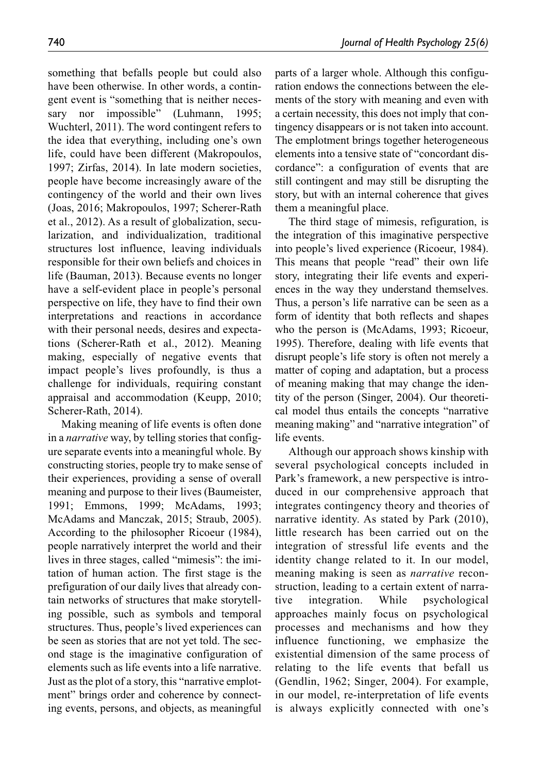something that befalls people but could also have been otherwise. In other words, a contingent event is "something that is neither necessary nor impossible" (Luhmann, 1995; Wuchterl, 2011). The word contingent refers to the idea that everything, including one's own life, could have been different (Makropoulos, 1997; Zirfas, 2014). In late modern societies, people have become increasingly aware of the contingency of the world and their own lives (Joas, 2016; Makropoulos, 1997; Scherer-Rath et al., 2012). As a result of globalization, secularization, and individualization, traditional structures lost influence, leaving individuals responsible for their own beliefs and choices in life (Bauman, 2013). Because events no longer have a self-evident place in people's personal perspective on life, they have to find their own interpretations and reactions in accordance with their personal needs, desires and expectations (Scherer-Rath et al., 2012). Meaning making, especially of negative events that impact people's lives profoundly, is thus a challenge for individuals, requiring constant appraisal and accommodation (Keupp, 2010; Scherer-Rath, 2014).

Making meaning of life events is often done in a *narrative* way, by telling stories that configure separate events into a meaningful whole. By constructing stories, people try to make sense of their experiences, providing a sense of overall meaning and purpose to their lives (Baumeister, 1991; Emmons, 1999; McAdams, 1993; McAdams and Manczak, 2015; Straub, 2005). According to the philosopher Ricoeur (1984), people narratively interpret the world and their lives in three stages, called "mimesis": the imitation of human action. The first stage is the prefiguration of our daily lives that already contain networks of structures that make storytelling possible, such as symbols and temporal structures. Thus, people's lived experiences can be seen as stories that are not yet told. The second stage is the imaginative configuration of elements such as life events into a life narrative. Just as the plot of a story, this "narrative emplotment" brings order and coherence by connecting events, persons, and objects, as meaningful

parts of a larger whole. Although this configuration endows the connections between the elements of the story with meaning and even with a certain necessity, this does not imply that contingency disappears or is not taken into account. The emplotment brings together heterogeneous elements into a tensive state of "concordant discordance": a configuration of events that are still contingent and may still be disrupting the story, but with an internal coherence that gives them a meaningful place.

The third stage of mimesis, refiguration, is the integration of this imaginative perspective into people's lived experience (Ricoeur, 1984). This means that people "read" their own life story, integrating their life events and experiences in the way they understand themselves. Thus, a person's life narrative can be seen as a form of identity that both reflects and shapes who the person is (McAdams, 1993; Ricoeur, 1995). Therefore, dealing with life events that disrupt people's life story is often not merely a matter of coping and adaptation, but a process of meaning making that may change the identity of the person (Singer, 2004). Our theoretical model thus entails the concepts "narrative meaning making" and "narrative integration" of life events.

Although our approach shows kinship with several psychological concepts included in Park's framework, a new perspective is introduced in our comprehensive approach that integrates contingency theory and theories of narrative identity. As stated by Park (2010), little research has been carried out on the integration of stressful life events and the identity change related to it. In our model, meaning making is seen as *narrative* reconstruction, leading to a certain extent of narrative integration. While psychological approaches mainly focus on psychological processes and mechanisms and how they influence functioning, we emphasize the existential dimension of the same process of relating to the life events that befall us (Gendlin, 1962; Singer, 2004). For example, in our model, re-interpretation of life events is always explicitly connected with one's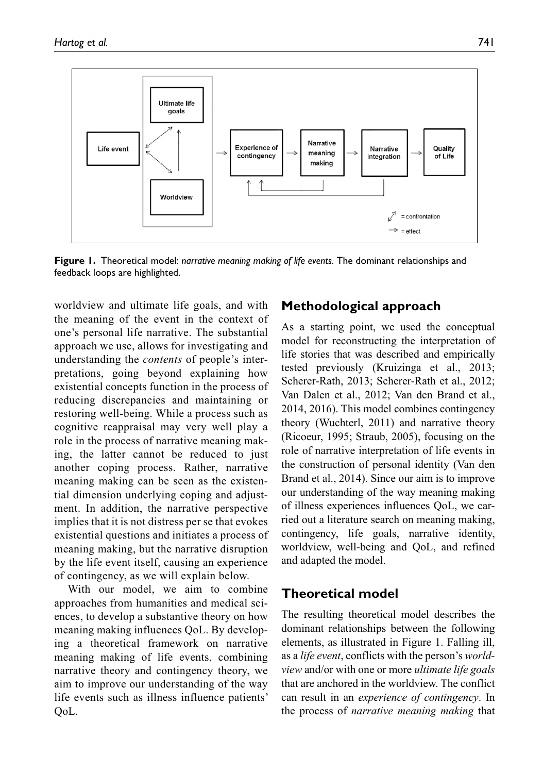

**Figure 1.** Theoretical model: *narrative meaning making of life events*. The dominant relationships and feedback loops are highlighted.

worldview and ultimate life goals, and with the meaning of the event in the context of one's personal life narrative. The substantial approach we use, allows for investigating and understanding the *contents* of people's interpretations, going beyond explaining how existential concepts function in the process of reducing discrepancies and maintaining or restoring well-being. While a process such as cognitive reappraisal may very well play a role in the process of narrative meaning making, the latter cannot be reduced to just another coping process. Rather, narrative meaning making can be seen as the existential dimension underlying coping and adjustment. In addition, the narrative perspective implies that it is not distress per se that evokes existential questions and initiates a process of meaning making, but the narrative disruption by the life event itself, causing an experience of contingency, as we will explain below.

With our model, we aim to combine approaches from humanities and medical sciences, to develop a substantive theory on how meaning making influences QoL. By developing a theoretical framework on narrative meaning making of life events, combining narrative theory and contingency theory, we aim to improve our understanding of the way life events such as illness influence patients' QoL.

### **Methodological approach**

As a starting point, we used the conceptual model for reconstructing the interpretation of life stories that was described and empirically tested previously (Kruizinga et al., 2013; Scherer-Rath, 2013; Scherer-Rath et al., 2012; Van Dalen et al., 2012; Van den Brand et al., 2014, 2016). This model combines contingency theory (Wuchterl, 2011) and narrative theory (Ricoeur, 1995; Straub, 2005), focusing on the role of narrative interpretation of life events in the construction of personal identity (Van den Brand et al., 2014). Since our aim is to improve our understanding of the way meaning making of illness experiences influences QoL, we carried out a literature search on meaning making, contingency, life goals, narrative identity, worldview, well-being and QoL, and refined and adapted the model.

### **Theoretical model**

The resulting theoretical model describes the dominant relationships between the following elements, as illustrated in Figure 1. Falling ill, as a *life event*, conflicts with the person's *worldview* and/or with one or more *ultimate life goals* that are anchored in the worldview. The conflict can result in an *experience of contingency*. In the process of *narrative meaning making* that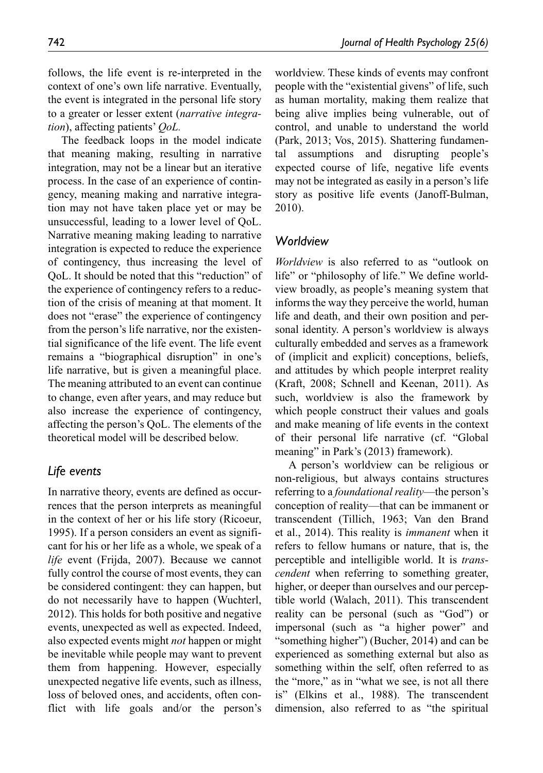follows, the life event is re-interpreted in the context of one's own life narrative. Eventually, the event is integrated in the personal life story to a greater or lesser extent (*narrative integration*), affecting patients' *QoL.*

The feedback loops in the model indicate that meaning making, resulting in narrative integration, may not be a linear but an iterative process. In the case of an experience of contingency, meaning making and narrative integration may not have taken place yet or may be unsuccessful, leading to a lower level of QoL. Narrative meaning making leading to narrative integration is expected to reduce the experience of contingency, thus increasing the level of QoL. It should be noted that this "reduction" of the experience of contingency refers to a reduction of the crisis of meaning at that moment. It does not "erase" the experience of contingency from the person's life narrative, nor the existential significance of the life event. The life event remains a "biographical disruption" in one's life narrative, but is given a meaningful place. The meaning attributed to an event can continue to change, even after years, and may reduce but also increase the experience of contingency, affecting the person's QoL. The elements of the theoretical model will be described below.

### *Life events*

In narrative theory, events are defined as occurrences that the person interprets as meaningful in the context of her or his life story (Ricoeur, 1995). If a person considers an event as significant for his or her life as a whole, we speak of a *life* event (Frijda, 2007). Because we cannot fully control the course of most events, they can be considered contingent: they can happen, but do not necessarily have to happen (Wuchterl, 2012). This holds for both positive and negative events, unexpected as well as expected. Indeed, also expected events might *not* happen or might be inevitable while people may want to prevent them from happening. However, especially unexpected negative life events, such as illness, loss of beloved ones, and accidents, often conflict with life goals and/or the person's

worldview. These kinds of events may confront people with the "existential givens" of life, such as human mortality, making them realize that being alive implies being vulnerable, out of control, and unable to understand the world (Park, 2013; Vos, 2015). Shattering fundamental assumptions and disrupting people's expected course of life, negative life events may not be integrated as easily in a person's life story as positive life events (Janoff-Bulman, 2010).

### *Worldview*

*Worldview* is also referred to as "outlook on life" or "philosophy of life." We define worldview broadly, as people's meaning system that informs the way they perceive the world, human life and death, and their own position and personal identity. A person's worldview is always culturally embedded and serves as a framework of (implicit and explicit) conceptions, beliefs, and attitudes by which people interpret reality (Kraft, 2008; Schnell and Keenan, 2011). As such, worldview is also the framework by which people construct their values and goals and make meaning of life events in the context of their personal life narrative (cf. "Global meaning" in Park's (2013) framework).

A person's worldview can be religious or non-religious, but always contains structures referring to a *foundational reality*—the person's conception of reality—that can be immanent or transcendent (Tillich, 1963; Van den Brand et al., 2014). This reality is *immanent* when it refers to fellow humans or nature, that is, the perceptible and intelligible world. It is *transcendent* when referring to something greater, higher, or deeper than ourselves and our perceptible world (Walach, 2011). This transcendent reality can be personal (such as "God") or impersonal (such as "a higher power" and "something higher") (Bucher, 2014) and can be experienced as something external but also as something within the self, often referred to as the "more," as in "what we see, is not all there is" (Elkins et al., 1988). The transcendent dimension, also referred to as "the spiritual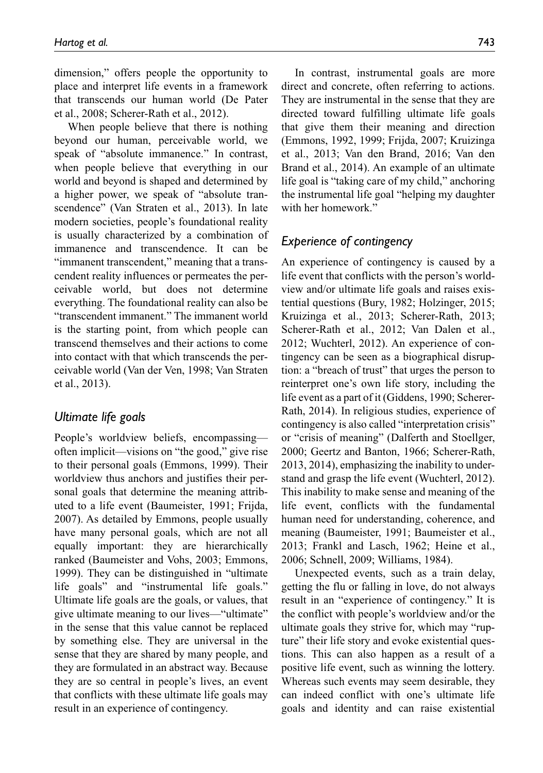dimension," offers people the opportunity to place and interpret life events in a framework that transcends our human world (De Pater et al., 2008; Scherer-Rath et al., 2012).

When people believe that there is nothing beyond our human, perceivable world, we speak of "absolute immanence." In contrast, when people believe that everything in our world and beyond is shaped and determined by a higher power, we speak of "absolute transcendence" (Van Straten et al., 2013). In late modern societies, people's foundational reality is usually characterized by a combination of immanence and transcendence. It can be "immanent transcendent," meaning that a transcendent reality influences or permeates the perceivable world, but does not determine everything. The foundational reality can also be "transcendent immanent." The immanent world is the starting point, from which people can transcend themselves and their actions to come into contact with that which transcends the perceivable world (Van der Ven, 1998; Van Straten et al., 2013).

### *Ultimate life goals*

People's worldview beliefs, encompassing often implicit—visions on "the good," give rise to their personal goals (Emmons, 1999). Their worldview thus anchors and justifies their personal goals that determine the meaning attributed to a life event (Baumeister, 1991; Frijda, 2007). As detailed by Emmons, people usually have many personal goals, which are not all equally important: they are hierarchically ranked (Baumeister and Vohs, 2003; Emmons, 1999). They can be distinguished in "ultimate life goals" and "instrumental life goals." Ultimate life goals are the goals, or values, that give ultimate meaning to our lives—"ultimate" in the sense that this value cannot be replaced by something else. They are universal in the sense that they are shared by many people, and they are formulated in an abstract way. Because they are so central in people's lives, an event that conflicts with these ultimate life goals may result in an experience of contingency.

In contrast, instrumental goals are more direct and concrete, often referring to actions. They are instrumental in the sense that they are directed toward fulfilling ultimate life goals that give them their meaning and direction (Emmons, 1992, 1999; Frijda, 2007; Kruizinga et al., 2013; Van den Brand, 2016; Van den Brand et al., 2014). An example of an ultimate life goal is "taking care of my child," anchoring the instrumental life goal "helping my daughter with her homework."

### *Experience of contingency*

An experience of contingency is caused by a life event that conflicts with the person's worldview and/or ultimate life goals and raises existential questions (Bury, 1982; Holzinger, 2015; Kruizinga et al., 2013; Scherer-Rath, 2013; Scherer-Rath et al., 2012; Van Dalen et al., 2012; Wuchterl, 2012). An experience of contingency can be seen as a biographical disruption: a "breach of trust" that urges the person to reinterpret one's own life story, including the life event as a part of it (Giddens, 1990; Scherer-Rath, 2014). In religious studies, experience of contingency is also called "interpretation crisis" or "crisis of meaning" (Dalferth and Stoellger, 2000; Geertz and Banton, 1966; Scherer-Rath, 2013, 2014), emphasizing the inability to understand and grasp the life event (Wuchterl, 2012). This inability to make sense and meaning of the life event, conflicts with the fundamental human need for understanding, coherence, and meaning (Baumeister, 1991; Baumeister et al., 2013; Frankl and Lasch, 1962; Heine et al., 2006; Schnell, 2009; Williams, 1984).

Unexpected events, such as a train delay, getting the flu or falling in love, do not always result in an "experience of contingency." It is the conflict with people's worldview and/or the ultimate goals they strive for, which may "rupture" their life story and evoke existential questions. This can also happen as a result of a positive life event, such as winning the lottery. Whereas such events may seem desirable, they can indeed conflict with one's ultimate life goals and identity and can raise existential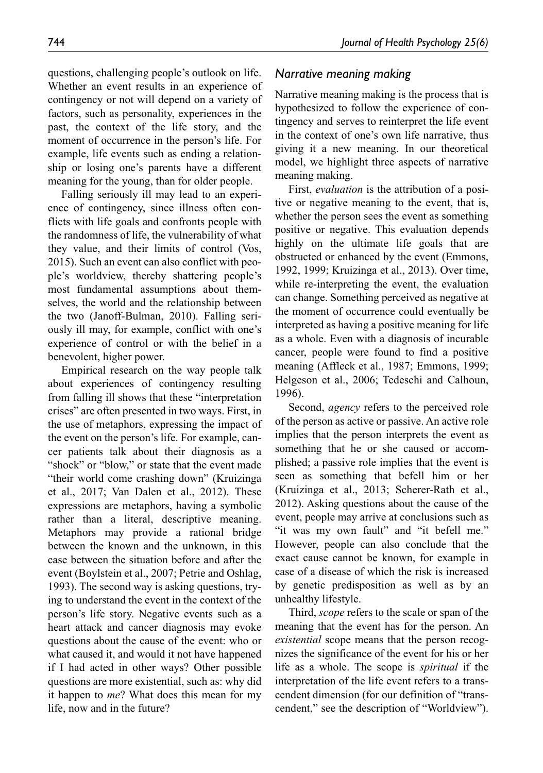questions, challenging people's outlook on life. Whether an event results in an experience of contingency or not will depend on a variety of factors, such as personality, experiences in the past, the context of the life story, and the moment of occurrence in the person's life. For example, life events such as ending a relationship or losing one's parents have a different meaning for the young, than for older people.

Falling seriously ill may lead to an experience of contingency, since illness often conflicts with life goals and confronts people with the randomness of life, the vulnerability of what they value, and their limits of control (Vos, 2015). Such an event can also conflict with people's worldview, thereby shattering people's most fundamental assumptions about themselves, the world and the relationship between the two (Janoff-Bulman, 2010). Falling seriously ill may, for example, conflict with one's experience of control or with the belief in a benevolent, higher power.

Empirical research on the way people talk about experiences of contingency resulting from falling ill shows that these "interpretation crises" are often presented in two ways. First, in the use of metaphors, expressing the impact of the event on the person's life. For example, cancer patients talk about their diagnosis as a "shock" or "blow," or state that the event made "their world come crashing down" (Kruizinga et al., 2017; Van Dalen et al., 2012). These expressions are metaphors, having a symbolic rather than a literal, descriptive meaning. Metaphors may provide a rational bridge between the known and the unknown, in this case between the situation before and after the event (Boylstein et al., 2007; Petrie and Oshlag, 1993). The second way is asking questions, trying to understand the event in the context of the person's life story. Negative events such as a heart attack and cancer diagnosis may evoke questions about the cause of the event: who or what caused it, and would it not have happened if I had acted in other ways? Other possible questions are more existential, such as: why did it happen to *me*? What does this mean for my life, now and in the future?

### *Narrative meaning making*

Narrative meaning making is the process that is hypothesized to follow the experience of contingency and serves to reinterpret the life event in the context of one's own life narrative, thus giving it a new meaning. In our theoretical model, we highlight three aspects of narrative meaning making.

First, *evaluation* is the attribution of a positive or negative meaning to the event, that is, whether the person sees the event as something positive or negative. This evaluation depends highly on the ultimate life goals that are obstructed or enhanced by the event (Emmons, 1992, 1999; Kruizinga et al., 2013). Over time, while re-interpreting the event, the evaluation can change. Something perceived as negative at the moment of occurrence could eventually be interpreted as having a positive meaning for life as a whole. Even with a diagnosis of incurable cancer, people were found to find a positive meaning (Affleck et al., 1987; Emmons, 1999; Helgeson et al., 2006; Tedeschi and Calhoun, 1996).

Second, *agency* refers to the perceived role of the person as active or passive. An active role implies that the person interprets the event as something that he or she caused or accomplished; a passive role implies that the event is seen as something that befell him or her (Kruizinga et al., 2013; Scherer-Rath et al., 2012). Asking questions about the cause of the event, people may arrive at conclusions such as "it was my own fault" and "it befell me." However, people can also conclude that the exact cause cannot be known, for example in case of a disease of which the risk is increased by genetic predisposition as well as by an unhealthy lifestyle.

Third, *scope* refers to the scale or span of the meaning that the event has for the person. An *existential* scope means that the person recognizes the significance of the event for his or her life as a whole. The scope is *spiritual* if the interpretation of the life event refers to a transcendent dimension (for our definition of "transcendent," see the description of "Worldview").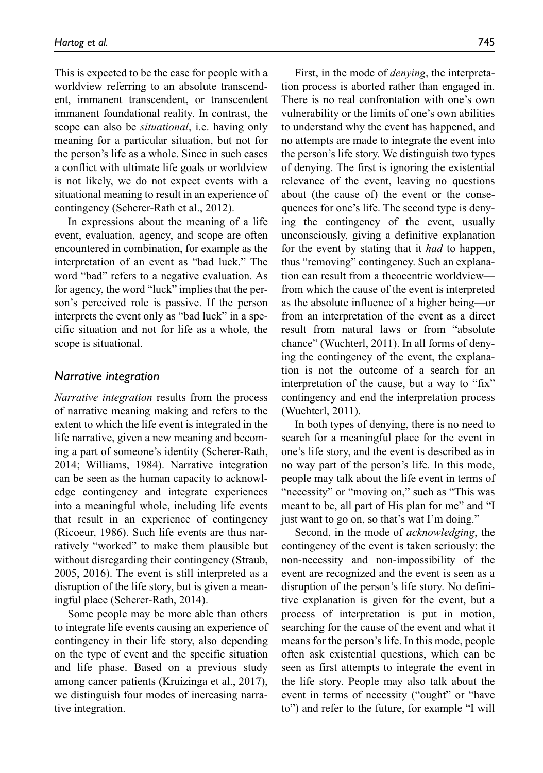This is expected to be the case for people with a worldview referring to an absolute transcendent, immanent transcendent, or transcendent immanent foundational reality. In contrast, the scope can also be *situational*, i.e. having only meaning for a particular situation, but not for the person's life as a whole. Since in such cases a conflict with ultimate life goals or worldview is not likely, we do not expect events with a situational meaning to result in an experience of contingency (Scherer-Rath et al., 2012).

In expressions about the meaning of a life event, evaluation, agency, and scope are often encountered in combination, for example as the interpretation of an event as "bad luck." The word "bad" refers to a negative evaluation. As for agency, the word "luck" implies that the person's perceived role is passive. If the person interprets the event only as "bad luck" in a specific situation and not for life as a whole, the scope is situational.

### *Narrative integration*

*Narrative integration* results from the process of narrative meaning making and refers to the extent to which the life event is integrated in the life narrative, given a new meaning and becoming a part of someone's identity (Scherer-Rath, 2014; Williams, 1984). Narrative integration can be seen as the human capacity to acknowledge contingency and integrate experiences into a meaningful whole, including life events that result in an experience of contingency (Ricoeur, 1986). Such life events are thus narratively "worked" to make them plausible but without disregarding their contingency (Straub, 2005, 2016). The event is still interpreted as a disruption of the life story, but is given a meaningful place (Scherer-Rath, 2014).

Some people may be more able than others to integrate life events causing an experience of contingency in their life story, also depending on the type of event and the specific situation and life phase. Based on a previous study among cancer patients (Kruizinga et al., 2017), we distinguish four modes of increasing narrative integration.

First, in the mode of *denying*, the interpretation process is aborted rather than engaged in. There is no real confrontation with one's own vulnerability or the limits of one's own abilities to understand why the event has happened, and no attempts are made to integrate the event into the person's life story. We distinguish two types of denying. The first is ignoring the existential relevance of the event, leaving no questions about (the cause of) the event or the consequences for one's life. The second type is denying the contingency of the event, usually unconsciously, giving a definitive explanation for the event by stating that it *had* to happen, thus "removing" contingency. Such an explanation can result from a theocentric worldview from which the cause of the event is interpreted as the absolute influence of a higher being—or from an interpretation of the event as a direct result from natural laws or from "absolute chance" (Wuchterl, 2011). In all forms of denying the contingency of the event, the explanation is not the outcome of a search for an interpretation of the cause, but a way to "fix" contingency and end the interpretation process (Wuchterl, 2011).

In both types of denying, there is no need to search for a meaningful place for the event in one's life story, and the event is described as in no way part of the person's life. In this mode, people may talk about the life event in terms of "necessity" or "moving on," such as "This was meant to be, all part of His plan for me" and "I just want to go on, so that's wat I'm doing."

Second, in the mode of *acknowledging*, the contingency of the event is taken seriously: the non-necessity and non-impossibility of the event are recognized and the event is seen as a disruption of the person's life story. No definitive explanation is given for the event, but a process of interpretation is put in motion, searching for the cause of the event and what it means for the person's life. In this mode, people often ask existential questions, which can be seen as first attempts to integrate the event in the life story. People may also talk about the event in terms of necessity ("ought" or "have to") and refer to the future, for example "I will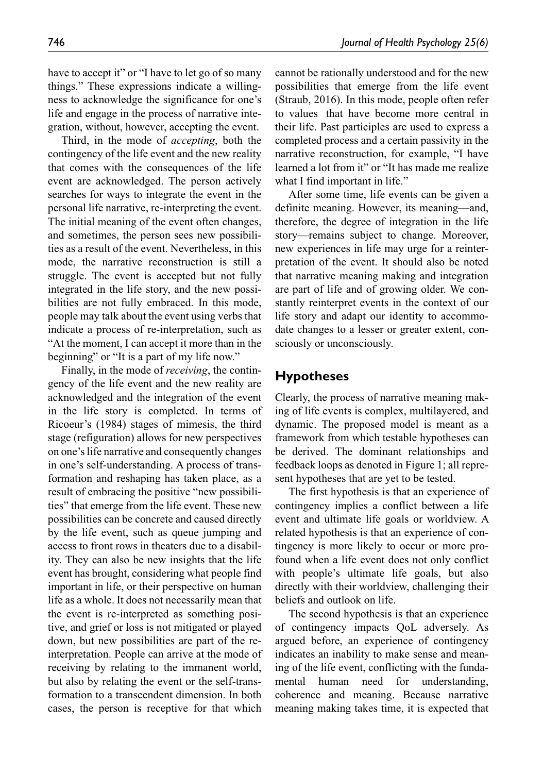have to accept it" or "I have to let go of so many things." These expressions indicate a willingness to acknowledge the significance for one's life and engage in the process of narrative integration, without, however, accepting the event.

Third, in the mode of *accepting*, both the contingency of the life event and the new reality that comes with the consequences of the life event are acknowledged. The person actively searches for ways to integrate the event in the personal life narrative, re-interpreting the event. The initial meaning of the event often changes, and sometimes, the person sees new possibilities as a result of the event. Nevertheless, in this mode, the narrative reconstruction is still a struggle. The event is accepted but not fully integrated in the life story, and the new possibilities are not fully embraced. In this mode, people may talk about the event using verbs that indicate a process of re-interpretation, such as "At the moment, I can accept it more than in the beginning" or "It is a part of my life now."

Finally, in the mode of *receiving*, the contingency of the life event and the new reality are acknowledged and the integration of the event in the life story is completed. In terms of Ricoeur's (1984) stages of mimesis, the third stage (refiguration) allows for new perspectives on one's life narrative and consequently changes in one's self-understanding. A process of transformation and reshaping has taken place, as a result of embracing the positive "new possibilities" that emerge from the life event. These new possibilities can be concrete and caused directly by the life event, such as queue jumping and access to front rows in theaters due to a disability. They can also be new insights that the life event has brought, considering what people find important in life, or their perspective on human life as a whole. It does not necessarily mean that the event is re-interpreted as something positive, and grief or loss is not mitigated or played down, but new possibilities are part of the reinterpretation. People can arrive at the mode of receiving by relating to the immanent world, but also by relating the event or the self-transformation to a transcendent dimension. In both cases, the person is receptive for that which

cannot be rationally understood and for the new possibilities that emerge from the life event (Straub, 2016). In this mode, people often refer to values that have become more central in their life. Past participles are used to express a completed process and a certain passivity in the narrative reconstruction, for example, "I have learned a lot from it" or "It has made me realize what I find important in life."

After some time, life events can be given a definite meaning. However, its meaning—and, therefore, the degree of integration in the life story—remains subject to change. Moreover, new experiences in life may urge for a reinterpretation of the event. It should also be noted that narrative meaning making and integration are part of life and of growing older. We constantly reinterpret events in the context of our life story and adapt our identity to accommodate changes to a lesser or greater extent, consciously or unconsciously.

### **Hypotheses**

Clearly, the process of narrative meaning making of life events is complex, multilayered, and dynamic. The proposed model is meant as a framework from which testable hypotheses can be derived. The dominant relationships and feedback loops as denoted in Figure 1; all represent hypotheses that are yet to be tested.

The first hypothesis is that an experience of contingency implies a conflict between a life event and ultimate life goals or worldview. A related hypothesis is that an experience of contingency is more likely to occur or more profound when a life event does not only conflict with people's ultimate life goals, but also directly with their worldview, challenging their beliefs and outlook on life.

The second hypothesis is that an experience of contingency impacts QoL adversely. As argued before, an experience of contingency indicates an inability to make sense and meaning of the life event, conflicting with the fundamental human need for understanding, coherence and meaning. Because narrative meaning making takes time, it is expected that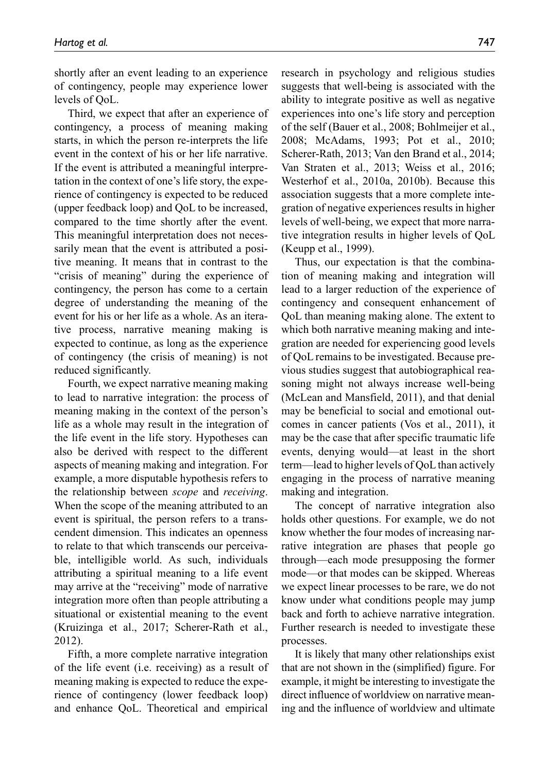shortly after an event leading to an experience of contingency, people may experience lower levels of QoL.

Third, we expect that after an experience of contingency, a process of meaning making starts, in which the person re-interprets the life event in the context of his or her life narrative. If the event is attributed a meaningful interpretation in the context of one's life story, the experience of contingency is expected to be reduced (upper feedback loop) and QoL to be increased, compared to the time shortly after the event. This meaningful interpretation does not necessarily mean that the event is attributed a positive meaning. It means that in contrast to the "crisis of meaning" during the experience of contingency, the person has come to a certain degree of understanding the meaning of the event for his or her life as a whole. As an iterative process, narrative meaning making is expected to continue, as long as the experience of contingency (the crisis of meaning) is not reduced significantly.

Fourth, we expect narrative meaning making to lead to narrative integration: the process of meaning making in the context of the person's life as a whole may result in the integration of the life event in the life story. Hypotheses can also be derived with respect to the different aspects of meaning making and integration. For example, a more disputable hypothesis refers to the relationship between *scope* and *receiving*. When the scope of the meaning attributed to an event is spiritual, the person refers to a transcendent dimension. This indicates an openness to relate to that which transcends our perceivable, intelligible world. As such, individuals attributing a spiritual meaning to a life event may arrive at the "receiving" mode of narrative integration more often than people attributing a situational or existential meaning to the event (Kruizinga et al., 2017; Scherer-Rath et al., 2012).

Fifth, a more complete narrative integration of the life event (i.e. receiving) as a result of meaning making is expected to reduce the experience of contingency (lower feedback loop) and enhance QoL. Theoretical and empirical

research in psychology and religious studies suggests that well-being is associated with the ability to integrate positive as well as negative experiences into one's life story and perception of the self (Bauer et al., 2008; Bohlmeijer et al., 2008; McAdams, 1993; Pot et al., 2010; Scherer-Rath, 2013; Van den Brand et al., 2014; Van Straten et al., 2013; Weiss et al., 2016; Westerhof et al., 2010a, 2010b). Because this association suggests that a more complete integration of negative experiences results in higher levels of well-being, we expect that more narrative integration results in higher levels of QoL (Keupp et al., 1999).

Thus, our expectation is that the combination of meaning making and integration will lead to a larger reduction of the experience of contingency and consequent enhancement of QoL than meaning making alone. The extent to which both narrative meaning making and integration are needed for experiencing good levels of QoL remains to be investigated. Because previous studies suggest that autobiographical reasoning might not always increase well-being (McLean and Mansfield, 2011), and that denial may be beneficial to social and emotional outcomes in cancer patients (Vos et al., 2011), it may be the case that after specific traumatic life events, denying would—at least in the short term—lead to higher levels of QoL than actively engaging in the process of narrative meaning making and integration.

The concept of narrative integration also holds other questions. For example, we do not know whether the four modes of increasing narrative integration are phases that people go through—each mode presupposing the former mode—or that modes can be skipped. Whereas we expect linear processes to be rare, we do not know under what conditions people may jump back and forth to achieve narrative integration. Further research is needed to investigate these processes.

It is likely that many other relationships exist that are not shown in the (simplified) figure. For example, it might be interesting to investigate the direct influence of worldview on narrative meaning and the influence of worldview and ultimate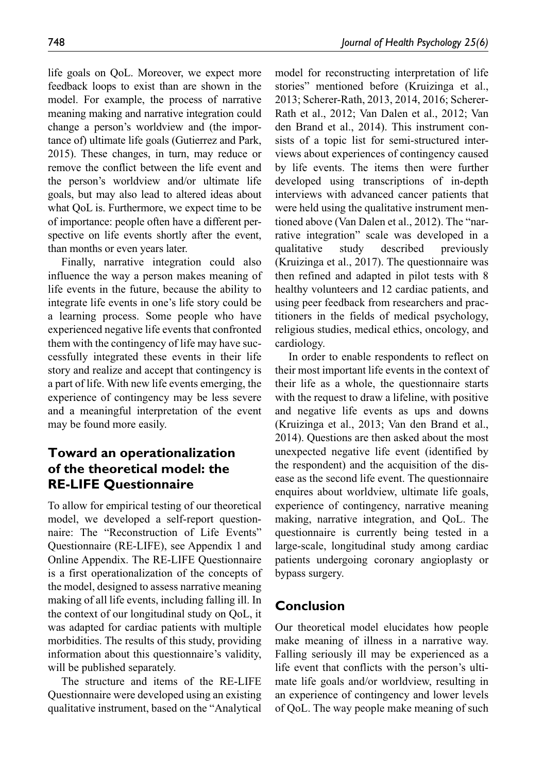life goals on QoL. Moreover, we expect more feedback loops to exist than are shown in the model. For example, the process of narrative meaning making and narrative integration could change a person's worldview and (the importance of) ultimate life goals (Gutierrez and Park, 2015). These changes, in turn, may reduce or remove the conflict between the life event and the person's worldview and/or ultimate life goals, but may also lead to altered ideas about what QoL is. Furthermore, we expect time to be of importance: people often have a different perspective on life events shortly after the event, than months or even years later.

Finally, narrative integration could also influence the way a person makes meaning of life events in the future, because the ability to integrate life events in one's life story could be a learning process. Some people who have experienced negative life events that confronted them with the contingency of life may have successfully integrated these events in their life story and realize and accept that contingency is a part of life. With new life events emerging, the experience of contingency may be less severe and a meaningful interpretation of the event may be found more easily.

# **Toward an operationalization of the theoretical model: the RE-LIFE Questionnaire**

To allow for empirical testing of our theoretical model, we developed a self-report questionnaire: The "Reconstruction of Life Events" Questionnaire (RE-LIFE), see [Appendix 1](http://journals.sagepub.com/doi/suppl/10.1177/1359105317731823/suppl_file/JHP_Appendix_A_-_Table_-_Narrative_meaning_making_and_integration_(concepts_and_items_RE-LIFE_Quest)_(1).pdf) and [Online Appendix.](http://journals.sagepub.com/doi/suppl/10.1177/1359105317731823/suppl_file/JHP_Appendix_B_(online_only)_-_Narr_mm_and_integr._(2).pdf) The RE-LIFE Questionnaire is a first operationalization of the concepts of the model, designed to assess narrative meaning making of all life events, including falling ill. In the context of our longitudinal study on QoL, it was adapted for cardiac patients with multiple morbidities. The results of this study, providing information about this questionnaire's validity, will be published separately.

The structure and items of the RE-LIFE Questionnaire were developed using an existing qualitative instrument, based on the "Analytical

model for reconstructing interpretation of life stories" mentioned before (Kruizinga et al., 2013; Scherer-Rath, 2013, 2014, 2016; Scherer-Rath et al., 2012; Van Dalen et al., 2012; Van den Brand et al., 2014). This instrument consists of a topic list for semi-structured interviews about experiences of contingency caused by life events. The items then were further developed using transcriptions of in-depth interviews with advanced cancer patients that were held using the qualitative instrument mentioned above (Van Dalen et al., 2012). The "narrative integration" scale was developed in a qualitative study described previously (Kruizinga et al., 2017). The questionnaire was then refined and adapted in pilot tests with 8 healthy volunteers and 12 cardiac patients, and using peer feedback from researchers and practitioners in the fields of medical psychology, religious studies, medical ethics, oncology, and cardiology.

In order to enable respondents to reflect on their most important life events in the context of their life as a whole, the questionnaire starts with the request to draw a lifeline, with positive and negative life events as ups and downs (Kruizinga et al., 2013; Van den Brand et al., 2014). Questions are then asked about the most unexpected negative life event (identified by the respondent) and the acquisition of the disease as the second life event. The questionnaire enquires about worldview, ultimate life goals, experience of contingency, narrative meaning making, narrative integration, and QoL. The questionnaire is currently being tested in a large-scale, longitudinal study among cardiac patients undergoing coronary angioplasty or bypass surgery.

# **Conclusion**

Our theoretical model elucidates how people make meaning of illness in a narrative way. Falling seriously ill may be experienced as a life event that conflicts with the person's ultimate life goals and/or worldview, resulting in an experience of contingency and lower levels of QoL. The way people make meaning of such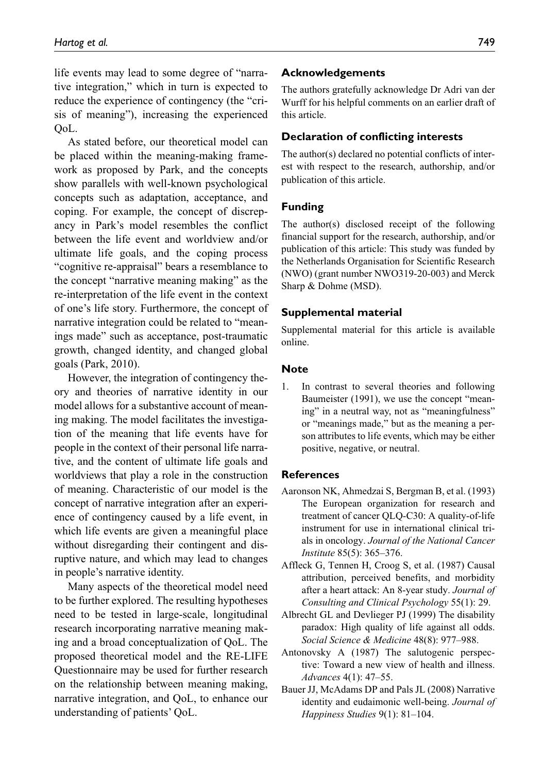life events may lead to some degree of "narrative integration," which in turn is expected to reduce the experience of contingency (the "crisis of meaning"), increasing the experienced QoL.

As stated before, our theoretical model can be placed within the meaning-making framework as proposed by Park, and the concepts show parallels with well-known psychological concepts such as adaptation, acceptance, and coping. For example, the concept of discrepancy in Park's model resembles the conflict between the life event and worldview and/or ultimate life goals, and the coping process "cognitive re-appraisal" bears a resemblance to the concept "narrative meaning making" as the re-interpretation of the life event in the context of one's life story. Furthermore, the concept of narrative integration could be related to "meanings made" such as acceptance, post-traumatic growth, changed identity, and changed global goals (Park, 2010).

However, the integration of contingency theory and theories of narrative identity in our model allows for a substantive account of meaning making. The model facilitates the investigation of the meaning that life events have for people in the context of their personal life narrative, and the content of ultimate life goals and worldviews that play a role in the construction of meaning. Characteristic of our model is the concept of narrative integration after an experience of contingency caused by a life event, in which life events are given a meaningful place without disregarding their contingent and disruptive nature, and which may lead to changes in people's narrative identity.

Many aspects of the theoretical model need to be further explored. The resulting hypotheses need to be tested in large-scale, longitudinal research incorporating narrative meaning making and a broad conceptualization of QoL. The proposed theoretical model and the RE-LIFE Questionnaire may be used for further research on the relationship between meaning making, narrative integration, and QoL, to enhance our understanding of patients' QoL.

#### **Acknowledgements**

The authors gratefully acknowledge Dr Adri van der Wurff for his helpful comments on an earlier draft of this article.

#### **Declaration of conflicting interests**

The author(s) declared no potential conflicts of interest with respect to the research, authorship, and/or publication of this article.

#### **Funding**

The author(s) disclosed receipt of the following financial support for the research, authorship, and/or publication of this article: This study was funded by the Netherlands Organisation for Scientific Research (NWO) (grant number NWO319-20-003) and Merck Sharp & Dohme (MSD).

#### **Supplemental material**

Supplemental material for this article is available online.

#### **Note**

1. In contrast to several theories and following Baumeister (1991), we use the concept "meaning" in a neutral way, not as "meaningfulness" or "meanings made," but as the meaning a person attributes to life events, which may be either positive, negative, or neutral.

#### **References**

- Aaronson NK, Ahmedzai S, Bergman B, et al. (1993) The European organization for research and treatment of cancer QLQ-C30: A quality-of-life instrument for use in international clinical trials in oncology. *Journal of the National Cancer Institute* 85(5): 365–376.
- Affleck G, Tennen H, Croog S, et al. (1987) Causal attribution, perceived benefits, and morbidity after a heart attack: An 8-year study. *Journal of Consulting and Clinical Psychology* 55(1): 29.
- Albrecht GL and Devlieger PJ (1999) The disability paradox: High quality of life against all odds. *Social Science & Medicine* 48(8): 977–988.
- Antonovsky A (1987) The salutogenic perspective: Toward a new view of health and illness. *Advances* 4(1): 47–55.
- Bauer JJ, McAdams DP and Pals JL (2008) Narrative identity and eudaimonic well-being. *Journal of Happiness Studies* 9(1): 81–104.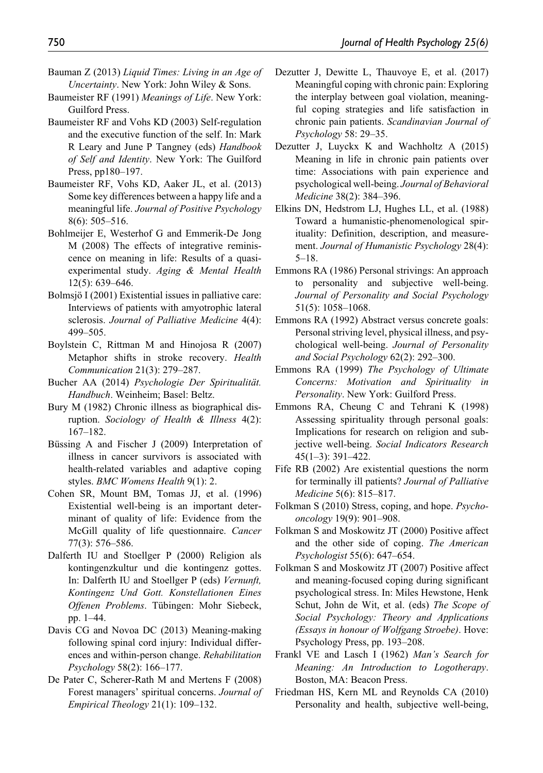- Bauman Z (2013) *Liquid Times: Living in an Age of Uncertainty*. New York: John Wiley & Sons.
- Baumeister RF (1991) *Meanings of Life*. New York: Guilford Press.
- Baumeister RF and Vohs KD (2003) Self-regulation and the executive function of the self. In: Mark R Leary and June P Tangney (eds) *Handbook of Self and Identity*. New York: The Guilford Press, pp180–197.
- Baumeister RF, Vohs KD, Aaker JL, et al. (2013) Some key differences between a happy life and a meaningful life. *Journal of Positive Psychology* 8(6): 505–516.
- Bohlmeijer E, Westerhof G and Emmerik-De Jong M (2008) The effects of integrative reminiscence on meaning in life: Results of a quasiexperimental study. *Aging & Mental Health* 12(5): 639–646.
- Bolmsjö I (2001) Existential issues in palliative care: Interviews of patients with amyotrophic lateral sclerosis. *Journal of Palliative Medicine* 4(4): 499–505.
- Boylstein C, Rittman M and Hinojosa R (2007) Metaphor shifts in stroke recovery. *Health Communication* 21(3): 279–287.
- Bucher AA (2014) *Psychologie Der Spiritualität. Handbuch*. Weinheim; Basel: Beltz.
- Bury M (1982) Chronic illness as biographical disruption. *Sociology of Health & Illness* 4(2): 167–182.
- Büssing A and Fischer J (2009) Interpretation of illness in cancer survivors is associated with health-related variables and adaptive coping styles. *BMC Womens Health* 9(1): 2.
- Cohen SR, Mount BM, Tomas JJ, et al. (1996) Existential well-being is an important determinant of quality of life: Evidence from the McGill quality of life questionnaire. *Cancer* 77(3): 576–586.
- Dalferth IU and Stoellger P (2000) Religion als kontingenzkultur und die kontingenz gottes. In: Dalferth IU and Stoellger P (eds) *Vernunft, Kontingenz Und Gott. Konstellationen Eines Offenen Problems*. Tübingen: Mohr Siebeck, pp. 1–44.
- Davis CG and Novoa DC (2013) Meaning-making following spinal cord injury: Individual differences and within-person change. *Rehabilitation Psychology* 58(2): 166–177.
- De Pater C, Scherer-Rath M and Mertens F (2008) Forest managers' spiritual concerns. *Journal of Empirical Theology* 21(1): 109–132.
- Dezutter J, Dewitte L, Thauvoye E, et al. (2017) Meaningful coping with chronic pain: Exploring the interplay between goal violation, meaningful coping strategies and life satisfaction in chronic pain patients. *Scandinavian Journal of Psychology* 58: 29–35.
- Dezutter J, Luyckx K and Wachholtz A (2015) Meaning in life in chronic pain patients over time: Associations with pain experience and psychological well-being. *Journal of Behavioral Medicine* 38(2): 384–396.
- Elkins DN, Hedstrom LJ, Hughes LL, et al. (1988) Toward a humanistic-phenomenological spirituality: Definition, description, and measurement. *Journal of Humanistic Psychology* 28(4): 5–18.
- Emmons RA (1986) Personal strivings: An approach to personality and subjective well-being. *Journal of Personality and Social Psychology* 51(5): 1058–1068.
- Emmons RA (1992) Abstract versus concrete goals: Personal striving level, physical illness, and psychological well-being. *Journal of Personality and Social Psychology* 62(2): 292–300.
- Emmons RA (1999) *The Psychology of Ultimate Concerns: Motivation and Spirituality in Personality*. New York: Guilford Press.
- Emmons RA, Cheung C and Tehrani K (1998) Assessing spirituality through personal goals: Implications for research on religion and subjective well-being. *Social Indicators Research* 45(1–3): 391–422.
- Fife RB (2002) Are existential questions the norm for terminally ill patients? *Journal of Palliative Medicine* 5(6): 815–817.
- Folkman S (2010) Stress, coping, and hope. *Psychooncology* 19(9): 901–908.
- Folkman S and Moskowitz JT (2000) Positive affect and the other side of coping. *The American Psychologist* 55(6): 647–654.
- Folkman S and Moskowitz JT (2007) Positive affect and meaning-focused coping during significant psychological stress. In: Miles Hewstone, Henk Schut, John de Wit, et al. (eds) *The Scope of Social Psychology: Theory and Applications (Essays in honour of Wolfgang Stroebe)*. Hove: Psychology Press, pp. 193–208.
- Frankl VE and Lasch I (1962) *Man's Search for Meaning: An Introduction to Logotherapy*. Boston, MA: Beacon Press.
- Friedman HS, Kern ML and Reynolds CA (2010) Personality and health, subjective well-being,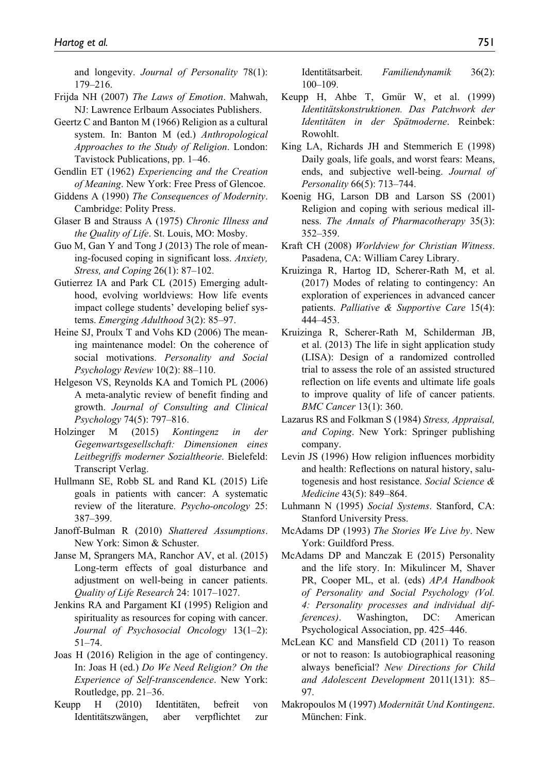and longevity. *Journal of Personality* 78(1): 179–216.

- Frijda NH (2007) *The Laws of Emotion*. Mahwah, NJ: Lawrence Erlbaum Associates Publishers.
- Geertz C and Banton M (1966) Religion as a cultural system. In: Banton M (ed.) *Anthropological Approaches to the Study of Religion*. London: Tavistock Publications, pp. 1–46.
- Gendlin ET (1962) *Experiencing and the Creation of Meaning*. New York: Free Press of Glencoe.
- Giddens A (1990) *The Consequences of Modernity*. Cambridge: Polity Press.
- Glaser B and Strauss A (1975) *Chronic Illness and the Quality of Life*. St. Louis, MO: Mosby.
- Guo M, Gan Y and Tong J (2013) The role of meaning-focused coping in significant loss. *Anxiety, Stress, and Coping* 26(1): 87–102.
- Gutierrez IA and Park CL (2015) Emerging adulthood, evolving worldviews: How life events impact college students' developing belief systems. *Emerging Adulthood* 3(2): 85–97.
- Heine SJ, Proulx T and Vohs KD (2006) The meaning maintenance model: On the coherence of social motivations. *Personality and Social Psychology Review* 10(2): 88–110.
- Helgeson VS, Reynolds KA and Tomich PL (2006) A meta-analytic review of benefit finding and growth. *Journal of Consulting and Clinical Psychology* 74(5): 797–816.
- Holzinger M (2015) *Kontingenz in der Gegenwartsgesellschaft: Dimensionen eines Leitbegriffs moderner Sozialtheorie*. Bielefeld: Transcript Verlag.
- Hullmann SE, Robb SL and Rand KL (2015) Life goals in patients with cancer: A systematic review of the literature. *Psycho-oncology* 25: 387–399.
- Janoff-Bulman R (2010) *Shattered Assumptions*. New York: Simon & Schuster.
- Janse M, Sprangers MA, Ranchor AV, et al. (2015) Long-term effects of goal disturbance and adjustment on well-being in cancer patients. *Quality of Life Research* 24: 1017–1027.
- Jenkins RA and Pargament KI (1995) Religion and spirituality as resources for coping with cancer. *Journal of Psychosocial Oncology* 13(1–2): 51–74.
- Joas H (2016) Religion in the age of contingency. In: Joas H (ed.) *Do We Need Religion? On the Experience of Self-transcendence*. New York: Routledge, pp. 21–36.
- Keupp H (2010) Identitäten, befreit von Identitätszwängen, aber verpflichtet zur

Identitätsarbeit. *Familiendynamik* 36(2): 100–109.

- Keupp H, Ahbe T, Gmür W, et al. (1999) *Identitätskonstruktionen. Das Patchwork der Identitäten in der Spätmoderne*. Reinbek: Rowohlt.
- King LA, Richards JH and Stemmerich E (1998) Daily goals, life goals, and worst fears: Means, ends, and subjective well-being. *Journal of Personality* 66(5): 713–744.
- Koenig HG, Larson DB and Larson SS (2001) Religion and coping with serious medical illness. *The Annals of Pharmacotherapy* 35(3): 352–359.
- Kraft CH (2008) *Worldview for Christian Witness*. Pasadena, CA: William Carey Library.
- Kruizinga R, Hartog ID, Scherer-Rath M, et al. (2017) Modes of relating to contingency: An exploration of experiences in advanced cancer patients. *Palliative & Supportive Care* 15(4): 444–453.
- Kruizinga R, Scherer-Rath M, Schilderman JB, et al. (2013) The life in sight application study (LISA): Design of a randomized controlled trial to assess the role of an assisted structured reflection on life events and ultimate life goals to improve quality of life of cancer patients. *BMC Cancer* 13(1): 360.
- Lazarus RS and Folkman S (1984) *Stress, Appraisal, and Coping*. New York: Springer publishing company.
- Levin JS (1996) How religion influences morbidity and health: Reflections on natural history, salutogenesis and host resistance. *Social Science & Medicine* 43(5): 849–864.
- Luhmann N (1995) *Social Systems*. Stanford, CA: Stanford University Press.
- McAdams DP (1993) *The Stories We Live by*. New York: Guildford Press.
- McAdams DP and Manczak E (2015) Personality and the life story. In: Mikulincer M, Shaver PR, Cooper ML, et al. (eds) *APA Handbook of Personality and Social Psychology (Vol. 4: Personality processes and individual differences)*. Washington, DC: American Psychological Association, pp. 425–446.
- McLean KC and Mansfield CD (2011) To reason or not to reason: Is autobiographical reasoning always beneficial? *New Directions for Child and Adolescent Development* 2011(131): 85– 97.
- Makropoulos M (1997) *Modernität Und Kontingenz*. München: Fink.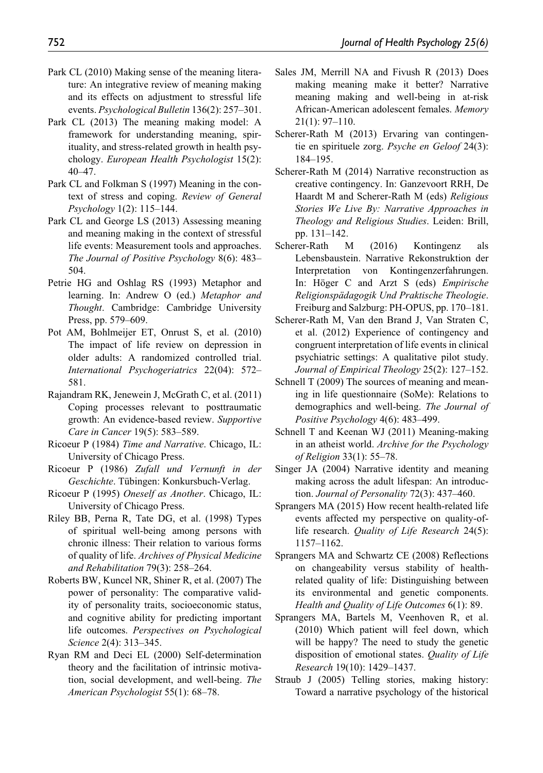- Park CL (2010) Making sense of the meaning literature: An integrative review of meaning making and its effects on adjustment to stressful life events. *Psychological Bulletin* 136(2): 257–301.
- Park CL (2013) The meaning making model: A framework for understanding meaning, spirituality, and stress-related growth in health psychology. *European Health Psychologist* 15(2): 40–47.
- Park CL and Folkman S (1997) Meaning in the context of stress and coping. *Review of General Psychology* 1(2): 115–144.
- Park CL and George LS (2013) Assessing meaning and meaning making in the context of stressful life events: Measurement tools and approaches. *The Journal of Positive Psychology* 8(6): 483– 504.
- Petrie HG and Oshlag RS (1993) Metaphor and learning. In: Andrew O (ed.) *Metaphor and Thought*. Cambridge: Cambridge University Press, pp. 579–609.
- Pot AM, Bohlmeijer ET, Onrust S, et al. (2010) The impact of life review on depression in older adults: A randomized controlled trial. *International Psychogeriatrics* 22(04): 572– 581.
- Rajandram RK, Jenewein J, McGrath C, et al. (2011) Coping processes relevant to posttraumatic growth: An evidence-based review. *Supportive Care in Cancer* 19(5): 583–589.
- Ricoeur P (1984) *Time and Narrative*. Chicago, IL: University of Chicago Press.
- Ricoeur P (1986) *Zufall und Vernunft in der Geschichte*. Tübingen: Konkursbuch-Verlag.
- Ricoeur P (1995) *Oneself as Another*. Chicago, IL: University of Chicago Press.
- Riley BB, Perna R, Tate DG, et al. (1998) Types of spiritual well-being among persons with chronic illness: Their relation to various forms of quality of life. *Archives of Physical Medicine and Rehabilitation* 79(3): 258–264.
- Roberts BW, Kuncel NR, Shiner R, et al. (2007) The power of personality: The comparative validity of personality traits, socioeconomic status, and cognitive ability for predicting important life outcomes. *Perspectives on Psychological Science* 2(4): 313–345.
- Ryan RM and Deci EL (2000) Self-determination theory and the facilitation of intrinsic motivation, social development, and well-being. *The American Psychologist* 55(1): 68–78.
- Sales JM, Merrill NA and Fivush R (2013) Does making meaning make it better? Narrative meaning making and well-being in at-risk African-American adolescent females. *Memory* 21(1): 97–110.
- Scherer-Rath M (2013) Ervaring van contingentie en spirituele zorg. *Psyche en Geloof* 24(3): 184–195.
- Scherer-Rath M (2014) Narrative reconstruction as creative contingency. In: Ganzevoort RRH, De Haardt M and Scherer-Rath M (eds) *Religious Stories We Live By: Narrative Approaches in Theology and Religious Studies*. Leiden: Brill, pp. 131–142.
- Scherer-Rath M (2016) Kontingenz als Lebensbaustein. Narrative Rekonstruktion der Interpretation von Kontingenzerfahrungen. In: Höger C and Arzt S (eds) *Empirische Religionspädagogik Und Praktische Theologie*. Freiburg and Salzburg: PH-OPUS, pp. 170–181.
- Scherer-Rath M, Van den Brand J, Van Straten C, et al. (2012) Experience of contingency and congruent interpretation of life events in clinical psychiatric settings: A qualitative pilot study. *Journal of Empirical Theology* 25(2): 127–152.
- Schnell T (2009) The sources of meaning and meaning in life questionnaire (SoMe): Relations to demographics and well-being. *The Journal of Positive Psychology* 4(6): 483–499.
- Schnell T and Keenan WJ (2011) Meaning-making in an atheist world. *Archive for the Psychology of Religion* 33(1): 55–78.
- Singer JA (2004) Narrative identity and meaning making across the adult lifespan: An introduction. *Journal of Personality* 72(3): 437–460.
- Sprangers MA (2015) How recent health-related life events affected my perspective on quality-oflife research. *Quality of Life Research* 24(5): 1157–1162.
- Sprangers MA and Schwartz CE (2008) Reflections on changeability versus stability of healthrelated quality of life: Distinguishing between its environmental and genetic components. *Health and Quality of Life Outcomes* 6(1): 89.
- Sprangers MA, Bartels M, Veenhoven R, et al. (2010) Which patient will feel down, which will be happy? The need to study the genetic disposition of emotional states. *Quality of Life Research* 19(10): 1429–1437.
- Straub J (2005) Telling stories, making history: Toward a narrative psychology of the historical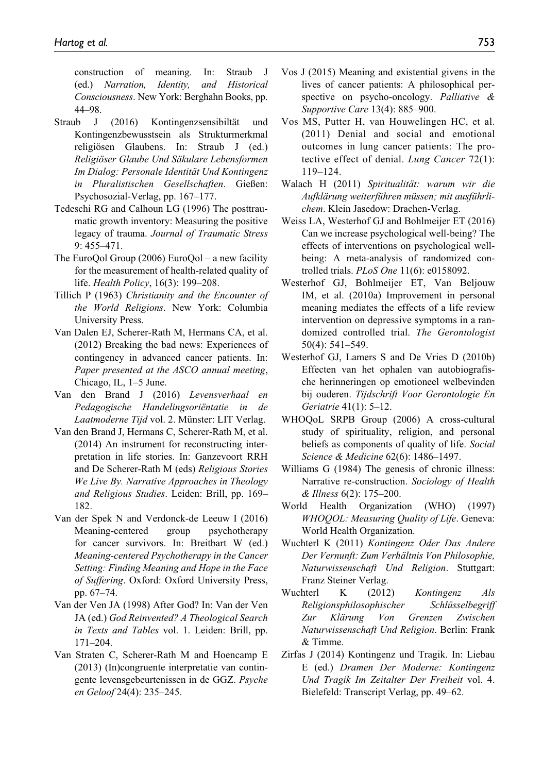construction of meaning. In: Straub J (ed.) *Narration, Identity, and Historical Consciousness*. New York: Berghahn Books, pp. 44–98.

- Straub J (2016) Kontingenzsensibiltät und Kontingenzbewusstsein als Strukturmerkmal religiösen Glaubens. In: Straub J (ed.) *Religiöser Glaube Und Säkulare Lebensformen Im Dialog: Personale Identität Und Kontingenz in Pluralistischen Gesellschaften*. Gießen: Psychosozial-Verlag, pp. 167–177.
- Tedeschi RG and Calhoun LG (1996) The posttraumatic growth inventory: Measuring the positive legacy of trauma. *Journal of Traumatic Stress* 9: 455–471.
- The EuroQol Group (2006) EuroQol a new facility for the measurement of health-related quality of life. *Health Policy*, 16(3): 199–208.
- Tillich P (1963) *Christianity and the Encounter of the World Religions*. New York: Columbia University Press.
- Van Dalen EJ, Scherer-Rath M, Hermans CA, et al. (2012) Breaking the bad news: Experiences of contingency in advanced cancer patients. In: *Paper presented at the ASCO annual meeting*, Chicago, IL, 1–5 June.
- Van den Brand J (2016) *Levensverhaal en Pedagogische Handelingsoriëntatie in de Laatmoderne Tijd* vol. 2. Münster: LIT Verlag.
- Van den Brand J, Hermans C, Scherer-Rath M, et al. (2014) An instrument for reconstructing interpretation in life stories. In: Ganzevoort RRH and De Scherer-Rath M (eds) *Religious Stories We Live By. Narrative Approaches in Theology and Religious Studies*. Leiden: Brill, pp. 169– 182.
- Van der Spek N and Verdonck-de Leeuw I (2016) Meaning-centered group psychotherapy for cancer survivors. In: Breitbart W (ed.) *Meaning-centered Psychotherapy in the Cancer Setting: Finding Meaning and Hope in the Face of Suffering*. Oxford: Oxford University Press, pp. 67–74.
- Van der Ven JA (1998) After God? In: Van der Ven JA (ed.) *God Reinvented? A Theological Search in Texts and Tables* vol. 1. Leiden: Brill, pp. 171–204.
- Van Straten C, Scherer-Rath M and Hoencamp E (2013) (In)congruente interpretatie van contingente levensgebeurtenissen in de GGZ. *Psyche en Geloof* 24(4): 235–245.
- Vos J (2015) Meaning and existential givens in the lives of cancer patients: A philosophical perspective on psycho-oncology. *Palliative & Supportive Care* 13(4): 885–900.
- Vos MS, Putter H, van Houwelingen HC, et al. (2011) Denial and social and emotional outcomes in lung cancer patients: The protective effect of denial. *Lung Cancer* 72(1): 119–124.
- Walach H (2011) *Spiritualität: warum wir die Aufklärung weiterführen müssen; mit ausführlichem*. Klein Jasedow: Drachen-Verlag.
- Weiss LA, Westerhof GJ and Bohlmeijer ET (2016) Can we increase psychological well-being? The effects of interventions on psychological wellbeing: A meta-analysis of randomized controlled trials. *PLoS One* 11(6): e0158092.
- Westerhof GJ, Bohlmeijer ET, Van Beljouw IM, et al. (2010a) Improvement in personal meaning mediates the effects of a life review intervention on depressive symptoms in a randomized controlled trial. *The Gerontologist* 50(4): 541–549.
- Westerhof GJ, Lamers S and De Vries D (2010b) Effecten van het ophalen van autobiografische herinneringen op emotioneel welbevinden bij ouderen. *Tijdschrift Voor Gerontologie En Geriatrie* 41(1): 5–12.
- WHOQoL SRPB Group (2006) A cross-cultural study of spirituality, religion, and personal beliefs as components of quality of life. *Social Science & Medicine* 62(6): 1486–1497.
- Williams G (1984) The genesis of chronic illness: Narrative re-construction. *Sociology of Health & Illness* 6(2): 175–200.
- World Health Organization (WHO) (1997) *WHOQOL: Measuring Quality of Life*. Geneva: World Health Organization.
- Wuchterl K (2011) *Kontingenz Oder Das Andere Der Vernunft: Zum Verhältnis Von Philosophie, Naturwissenschaft Und Religion*. Stuttgart: Franz Steiner Verlag.
- Wuchterl K (2012) *Kontingenz Als Religionsphilosophischer Schlüsselbegriff Zur Klärung Von Grenzen Zwischen Naturwissenschaft Und Religion*. Berlin: Frank & Timme.
- Zirfas J (2014) Kontingenz und Tragik. In: Liebau E (ed.) *Dramen Der Moderne: Kontingenz Und Tragik Im Zeitalter Der Freiheit* vol. 4. Bielefeld: Transcript Verlag, pp. 49–62.